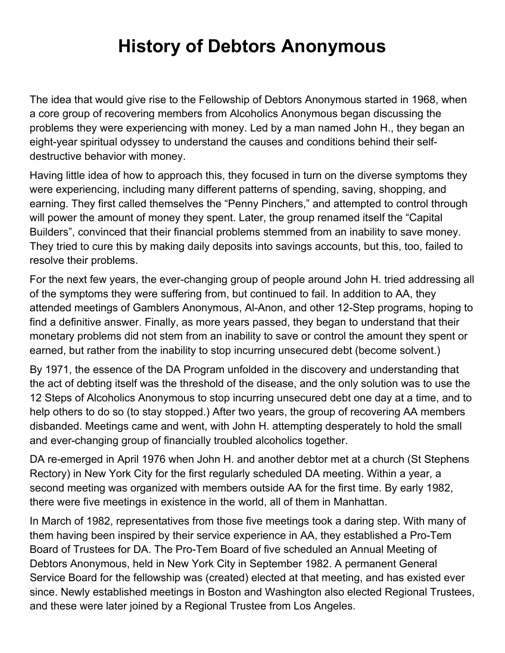## **History of Debtors Anonymous**

The idea that would give rise to the Fellowship of Debtors Anonymous started in 1968, when a core group of recovering members from Alcoholics Anonymous began discussing the problems they were experiencing with money. Led by a man named John H., they began an eight-year spiritual odyssey to understand the causes and conditions behind their selfdestructive behavior with money.

Having little idea of how to approach this, they focused in turn on the diverse symptoms they were experiencing, including many different patterns of spending, saving, shopping, and earning. They first called themselves the "Penny Pinchers," and attempted to control through will power the amount of money they spent. Later, the group renamed itself the "Capital Builders", convinced that their financial problems stemmed from an inability to save money. They tried to cure this by making daily deposits into savings accounts, but this, too, failed to resolve their problems.

For the next few years, the ever-changing group of people around John H. tried addressing all of the symptoms they were suffering from, but continued to fail. In addition to AA, they attended meetings of Gamblers Anonymous, Al-Anon, and other 12-Step programs, hoping to find a definitive answer. Finally, as more years passed, they began to understand that their monetary problems did not stem from an inability to save or control the amount they spent or earned, but rather from the inability to stop incurring unsecured debt (become solvent.)

By 1971, the essence of the DA Program unfolded in the discovery and understanding that the act of debting itself was the threshold of the disease, and the only solution was to use the 12 Steps of Alcoholics Anonymous to stop incurring unsecured debt one day at a time, and to help others to do so (to stay stopped.) After two years, the group of recovering AA members disbanded. Meetings came and went, with John H. attempting desperately to hold the small and ever-changing group of financially troubled alcoholics together.

DA re-emerged in April 1976 when John H. and another debtor met at a church (St Stephens Rectory) in New York City for the first regularly scheduled DA meeting. Within a year, a second meeting was organized with members outside AA for the first time. By early 1982, there were five meetings in existence in the world, all of them in Manhattan.

In March of 1982, representatives from those five meetings took a daring step. With many of them having been inspired by their service experience in AA, they established a Pro-Tem Board of Trustees for DA. The Pro-Tem Board of five scheduled an Annual Meeting of Debtors Anonymous, held in New York City in September 1982. A permanent General Service Board for the fellowship was (created) elected at that meeting, and has existed ever since. Newly established meetings in Boston and Washington also elected Regional Trustees, and these were later joined by a Regional Trustee from Los Angeles.